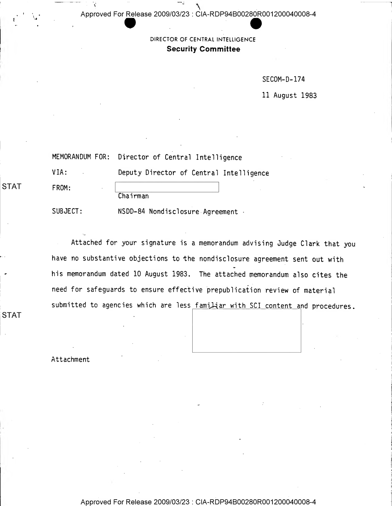$\mathcal{L}$ Approved For Release 2009/03/23 : CIA-RDP94B00280R001 200040008-4

> DIRECTOR OF CENTRAL INTELLIGENCE Security Committee

> > SEC0M-D-174

11 August 1983

|       | MEMORANDUM FOR: Director of Central Intelligence |  |
|-------|--------------------------------------------------|--|
| VIA:  | Deputy Director of Central Intelligence          |  |
| FROM: | Chairman                                         |  |

SUBJECT: NSDD-84 Nondisclosure Agreement •

Attached for your signature is <sup>a</sup> memorandum advising Judge Clark that you have no substantive objections to the nondisclosure agreement sent out with his memorandum dated 10 August 1983. The attached memorandum also cites the need for safeguards to ensure effective prepublication review of material submitted to agencies which are less familiar with SCI content and procedures.

Attachment

"

"

STAT

STAT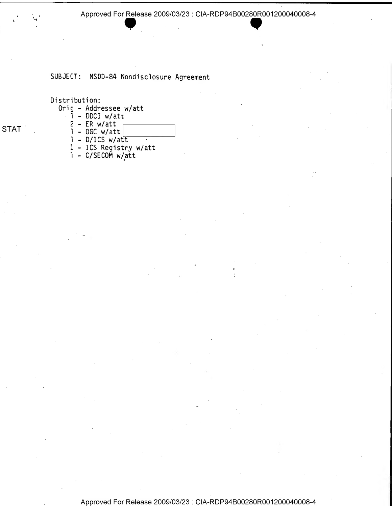Approved For Release 2009/03/23 : CIA-RDP94B00280R001200040008-4<br>  $\bullet$ 

## SUBJECT: NSDD-84 Nondisclosure Agreement

Distribution:

- Orig Addressee w/att
	- $\overline{1}$  DDCI w/att
	- $2$  ER w/att
	- $1 0$  GC w/att
	- <sup>1</sup> D/ICS w/att
	- <sup>1</sup> ICS Registry w/att
	- $1 C/SECOM W/att$

STAT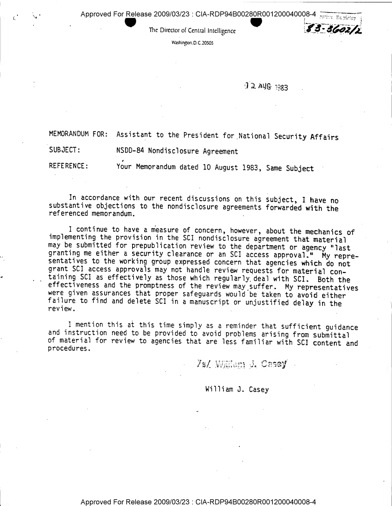Approved For Release 2009/03/23 : CIA-RDP94B0028<u>0R</u>001200040008-4

The Director of Central Intelligence

Washington. D.C. 20505

## .1 2. At/S- -Qg3

 $83 - 3602/2$ 

MEMORANDUM FOR: Assistant to the President for . National Security Affairs

SUBJECT: NSDD-84 Nondisclosure Agreement

REFERENCE: Your Memorandum dated 10 August 1983, Same Subject

In accordance with our recent discussions on this subject, <sup>I</sup> have no substantive objections to the nondisclosure agreements forwarded with the referenced memorandum.

<sup>I</sup> continue to have <sup>a</sup> measure of concern, however, about the mechanics of implementing the provision in the SCI nondisclosure agreement that material may be submitted for prepublication review to the department or agency "last granting me either a security clearance or an SCI access approval." My representatives to the working group expressed concern that agencies which do not grant SCI access approvals may not handle review requests for material containing SCI as effectively as those which regularly, deal with SCI. Both the effectiveness and the promptness of the review may suffer. My representatives were given assurances that proper safeguards would 'be taken to avoid either failure to find and delete SCI in <sup>a</sup> manuscript or unjustified delay in the review.

<sup>1</sup> mention this at this time simply as <sup>a</sup> reminder that sufficient guidance and instruction need to be provided to avoid problems arising from submittal of material for review to agencies that are less familiar with SCI content and procedures.

7s/ William J. Casey

## William J. Casey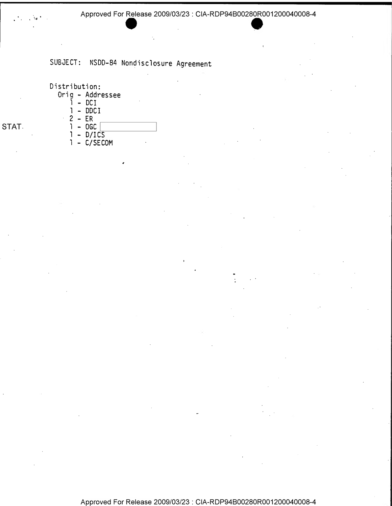## SUBJECT: NSDD-84 Nondisclosure Agreement

Distribution:

- Orig Addressee
	- $1 DCI$
	- <sup>1</sup> DDCI
	- $2 ER$
- STAT. 1 OGC
	- $1 D/ICS$
	- <sup>1</sup> C/SECOM